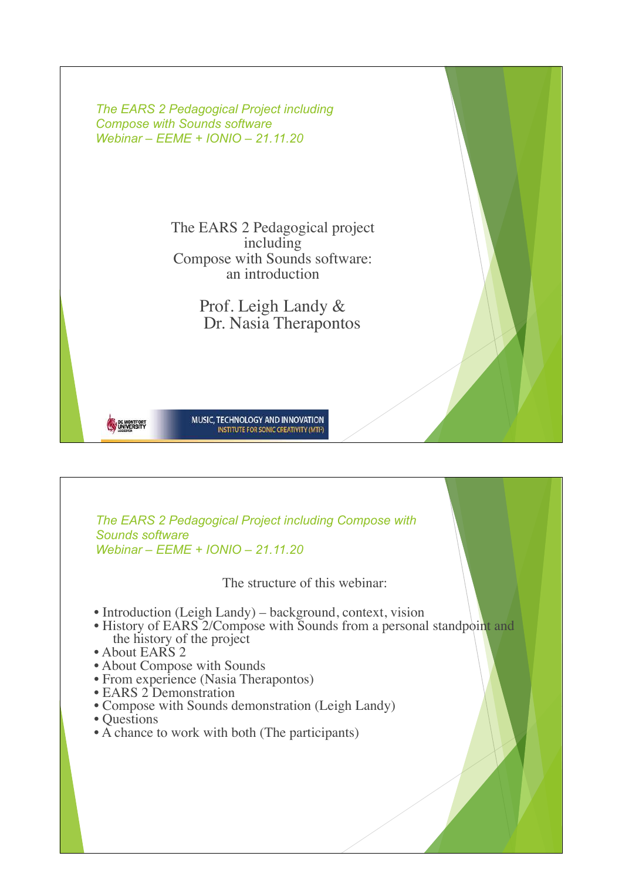

*The EARS 2 Pedagogical Project including Compose with Sounds software Webinar – EEME + IONIO – 21.11.20* The structure of this webinar: • Introduction (Leigh Landy) – background, context, vision • History of EARS 2/Compose with Sounds from a personal standpoint and the history of the project • About EARS 2 • About Compose with Sounds • From experience (Nasia Therapontos) • EARS 2 Demonstration • Compose with Sounds demonstration (Leigh Landy) • Questions • A chance to work with both (The participants)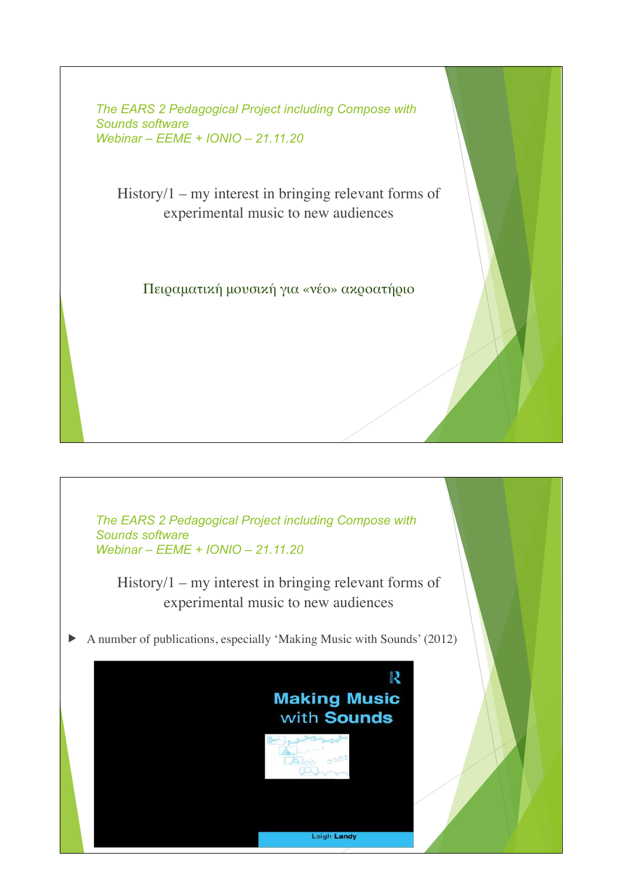$History/1 - my interest in bringing relevant forms of$ experimental music to new audiences

Πειραματική μουσική για «νέο» ακροατήριο

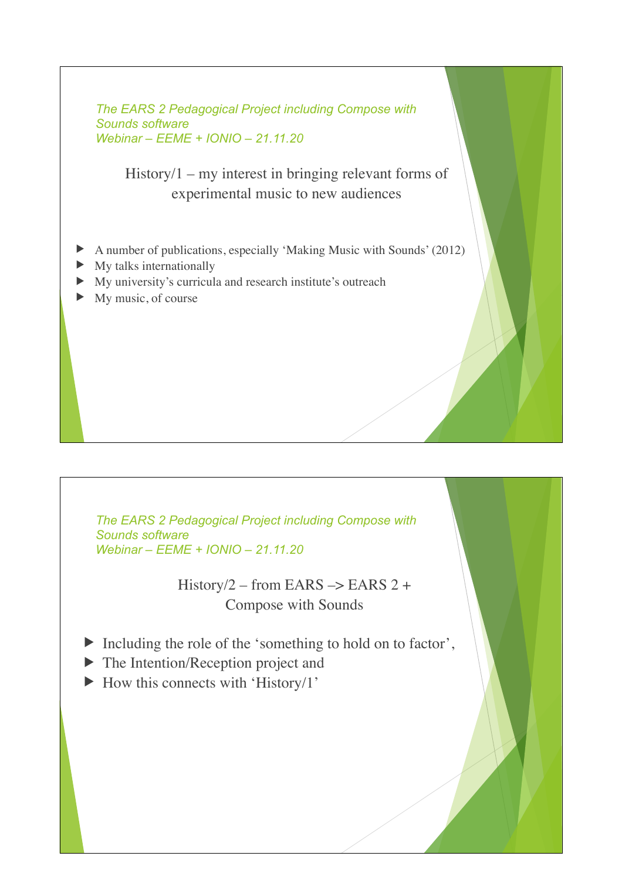$History/1 - my$  interest in bringing relevant forms of experimental music to new audiences

- A number of publications, especially 'Making Music with Sounds' (2012)
- My talks internationally
- $\blacktriangleright$  My university's curricula and research institute's outreach
- $\blacktriangleright$  My music, of course

*The EARS 2 Pedagogical Project including Compose with Sounds software Webinar – EEME + IONIO – 21.11.20*

> History/2 – from EARS  $\rightarrow$  EARS 2 + Compose with Sounds

- $\blacktriangleright$  Including the role of the 'something to hold on to factor',
- $\blacktriangleright$  The Intention/Reception project and
- $\blacktriangleright$  How this connects with 'History/1'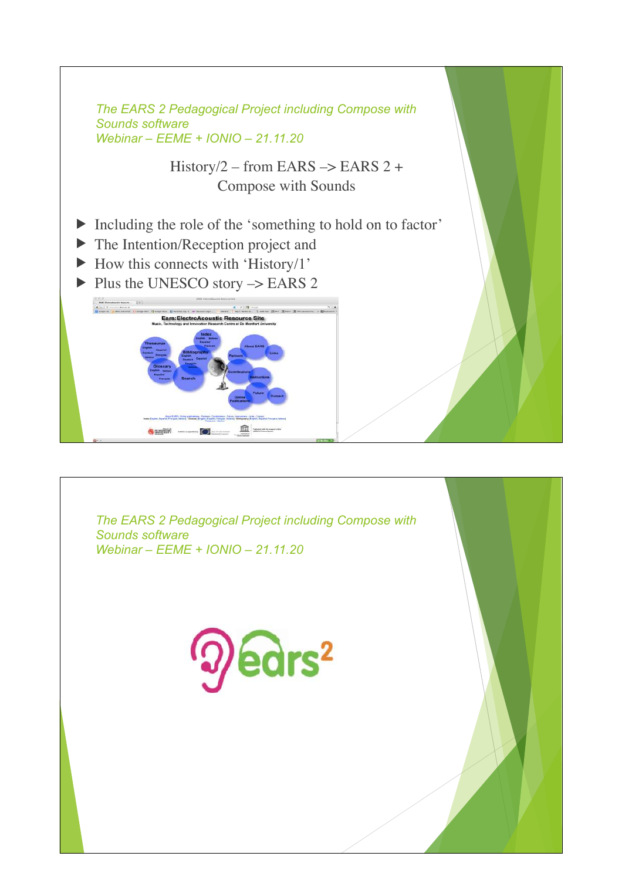

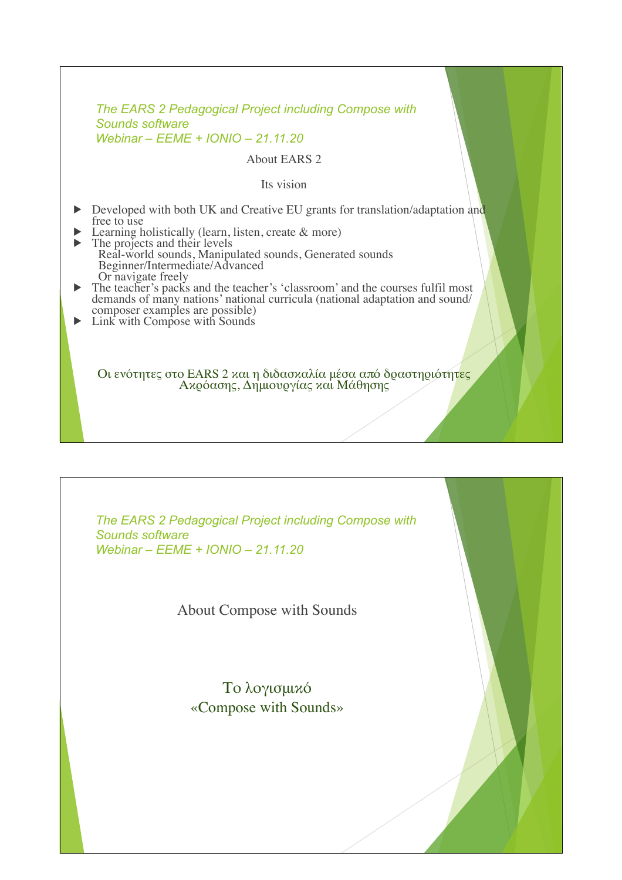## About EARS 2

Its vision

- Developed with both UK and Creative EU grants for translation/adaptation and free to use
- Learning holistically (learn, listen, create  $\&$  more)
- $\triangleright$  The projects and their levels Real-world sounds, Manipulated sounds, Generated sounds Beginner/Intermediate/Advanced Or navigate freely
- The teacher's packs and the teacher's 'classroom' and the courses fulfil most demands of many nations' national curricula (national adaptation and sound/ composer examples are possible)
- $\blacktriangleright$  Link with Compose with Sounds

Οι ενότητες στο EARS 2 και η διδασκαλία μέσα από δραστηριότητες<br>Ακρόασης, Δημιουργίας και Μάθησης

*The EARS 2 Pedagogical Project including Compose with Sounds software Webinar – EEME + IONIO – 21.11.20*

About Compose with Sounds

Το λογισμικό «Compose with Sounds»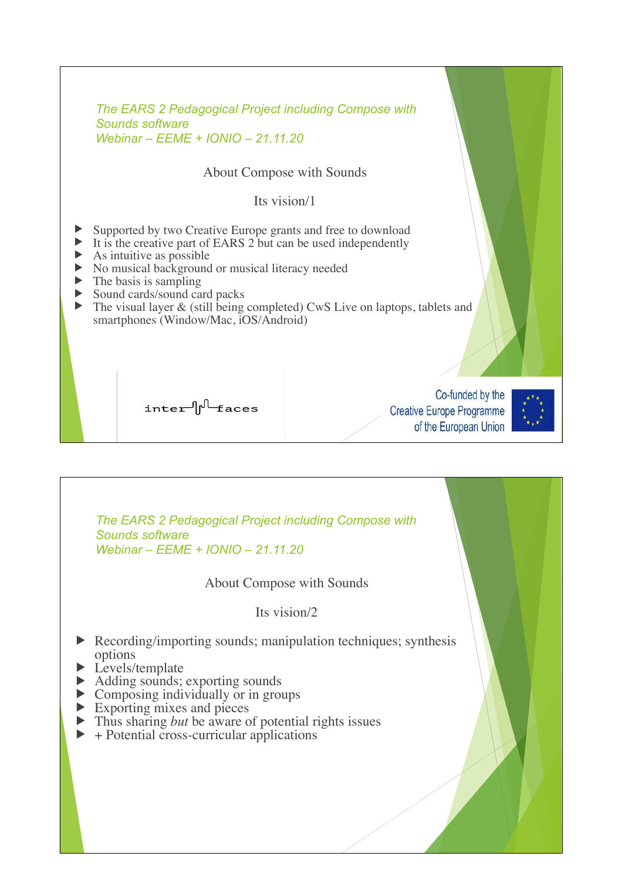| ▶                                                                                                                    |  | The EARS 2 Pedagogical Project including Compose with<br>Sounds software<br>Webinar - EEME + IONIO - 21.11.20<br><b>About Compose with Sounds</b><br>Its vision/1<br>Supported by two Creative Europe grants and free to download<br>It is the creative part of EARS 2 but can be used independently<br>As intuitive as possible<br>No musical background or musical literacy needed<br>The basis is sampling<br>Sound cards/sound card packs<br>smartphones (Window/Mac, iOS/Android) | The visual layer $&$ (still being completed) CwS Live on laptops, tablets and |
|----------------------------------------------------------------------------------------------------------------------|--|----------------------------------------------------------------------------------------------------------------------------------------------------------------------------------------------------------------------------------------------------------------------------------------------------------------------------------------------------------------------------------------------------------------------------------------------------------------------------------------|-------------------------------------------------------------------------------|
|                                                                                                                      |  | inter pleaces                                                                                                                                                                                                                                                                                                                                                                                                                                                                          | Co-funded by the<br><b>Creative Europe Programme</b><br>of the European Union |
| The EARS 2 Pedagogical Project including Compose with<br><b>Sounds software</b><br>Webinar - EEME + IONIO - 21.11.20 |  |                                                                                                                                                                                                                                                                                                                                                                                                                                                                                        |                                                                               |
| About Compose with Sounds                                                                                            |  |                                                                                                                                                                                                                                                                                                                                                                                                                                                                                        |                                                                               |
| Its vision/2                                                                                                         |  |                                                                                                                                                                                                                                                                                                                                                                                                                                                                                        |                                                                               |
| Recording/importing sounds; manipulation techniques; synthesis<br>options<br>Levels/template                         |  |                                                                                                                                                                                                                                                                                                                                                                                                                                                                                        |                                                                               |

- Adding sounds; exporting sounds
- $\triangleright$  Composing individually or in groups
- $\blacktriangleright$  Exporting mixes and pieces
- If Thus sharing *but* be aware of potential rights issues
- $\blacktriangleright$  + Potential cross-curricular applications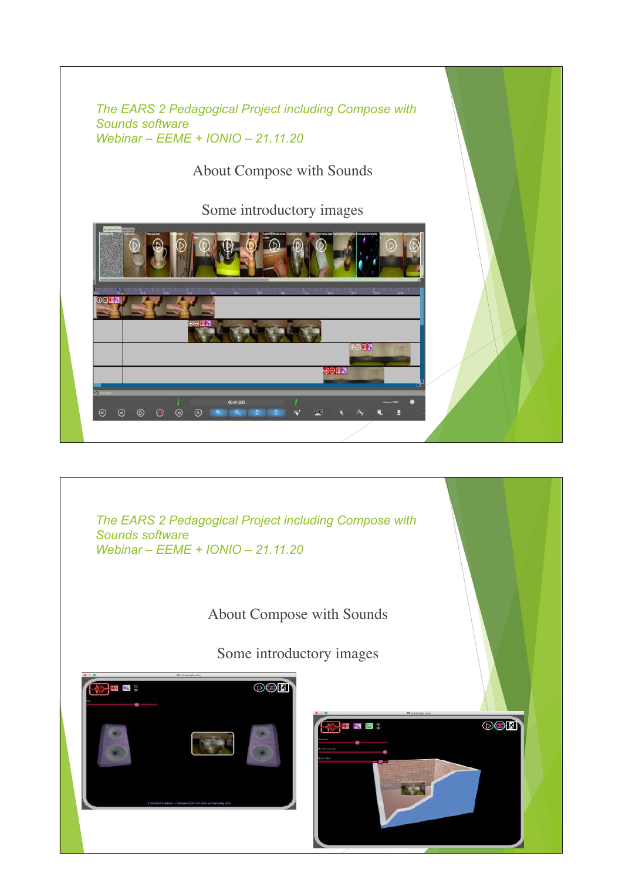

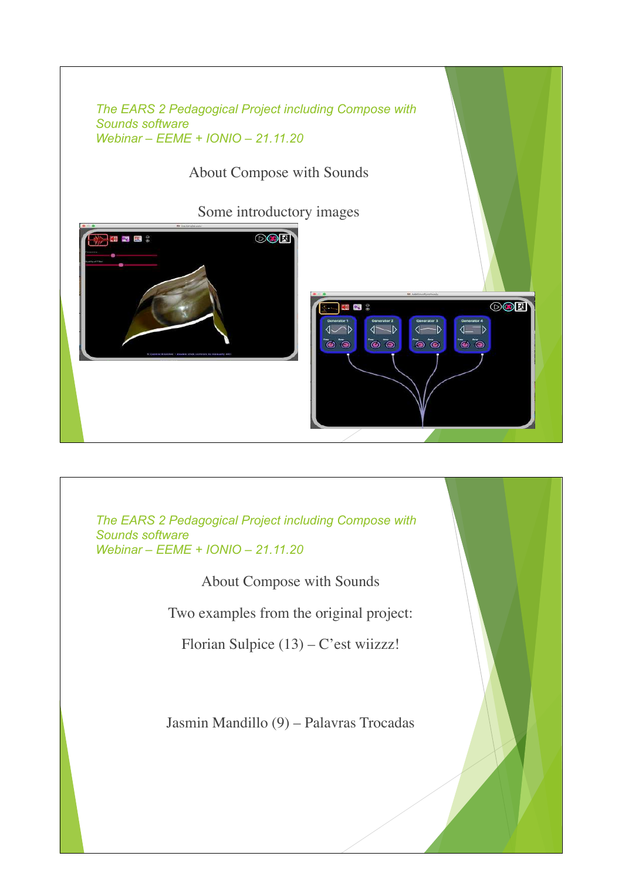

About Compose with Sounds

Two examples from the original project:

Florian Sulpice (13) – C'est wiizzz!

Jasmin Mandillo (9) – Palavras Trocadas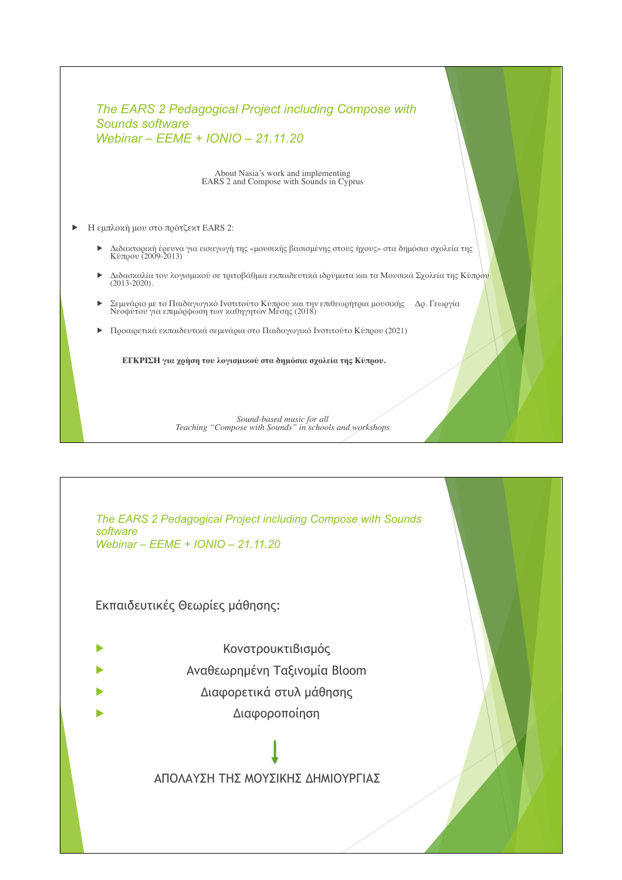| The EARS 2 Pedagogical Project including Compose with |
|-------------------------------------------------------|
| Sounds software                                       |
| Webinar - $EEME + IONIO - 21.11.20$                   |

About Nasia's work and implementing EARS 2 and Compose with Sounds in Cyprus

- **Η** εμπλοκή μου στο πρότζεκτ EARS 2:
	- Διδακτορική έρευνα για εισαγωγή της «μουσικής βασισμένης στους ήχους» στα δημόσια σχολεία της<br>Κύπρου (2009-2013)
	- u Διδασκαλία του λογισμικού σε τριτοβάθμια εκπαιδευτικά ιδρύματα και τα Μουσικά Σχολεία της Κύπρου  $(2013-2020)$ .
	- Σεμινάριο με το Παιδαγωγικό Ινστιτούτο Κύπρου και την επιθεωρήτρια μουσικής Δρ. Γεωργία Νεοφύτου για επιμόρφωση των καθηγητών Μέσης (2018)
	- u Προαιρετικά εκπαιδευτικά σεμινάρια στο Παιδαγωγικό Ινστιτούτο Κύπρου (2021)

**ΕΓΚΡΙΣΗ για χρήση του λογισμικού στα δημόσια σχολεία της Κύπρου.**

*Sound-based music for all Teaching "Compose with Sounds" in schools and workshops*

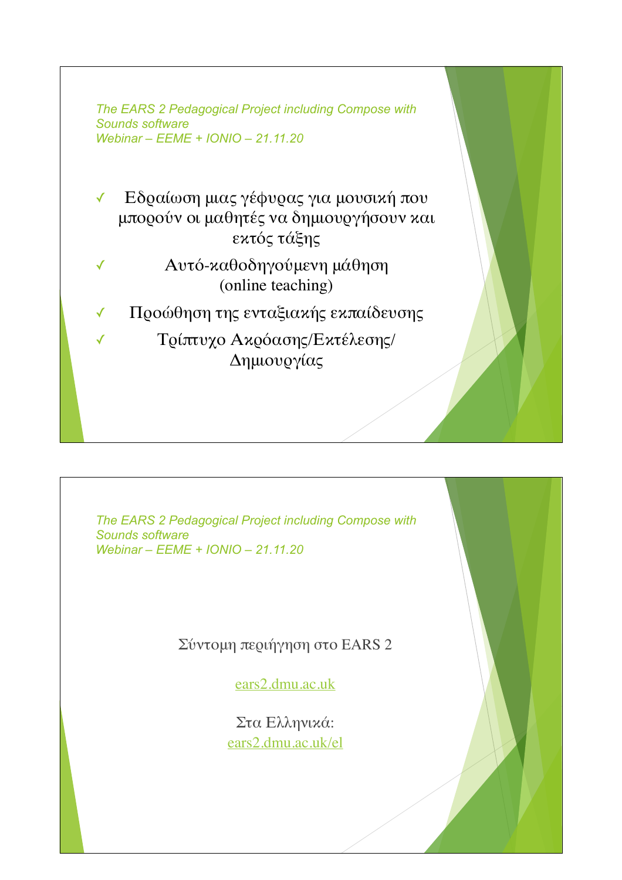✓ Εδραίωση μιας γέφυρας για μουσική που μπορούν οι μαθητές να δημιουργήσουν και εκτός τάξης

- ✓ Αυτό-καθοδηγούμενη μάθηση (online teaching)
- ✓ Προώθηση της ενταξιακής εκπαίδευσης

✓ Τρίπτυχο Ακρόασης/Εκτέλεσης/ Δημιουργίας

*The EARS 2 Pedagogical Project including Compose with Sounds software Webinar – EEME + IONIO – 21.11.20*

Σύντομη περιήγηση στο EARS 2

ears2.dmu.ac.uk

Στα Ελληνικά: ears2.dmu.ac.uk/el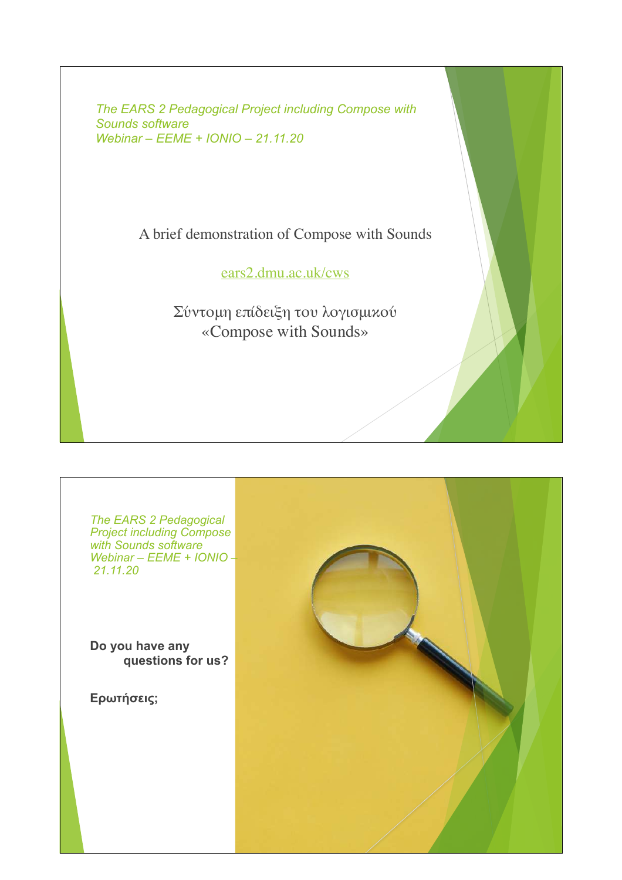A brief demonstration of Compose with Sounds

ears2.dmu.ac.uk/cws

Σύντομη επίδειξη του λογισμικού «Compose with Sounds»

*The EARS 2 Pedagogical Project including Compose with Sounds software Webinar – EEME + IONIO – 21.11.20*

**Do you have any questions for us?** 

**Ερωτήσεις;**